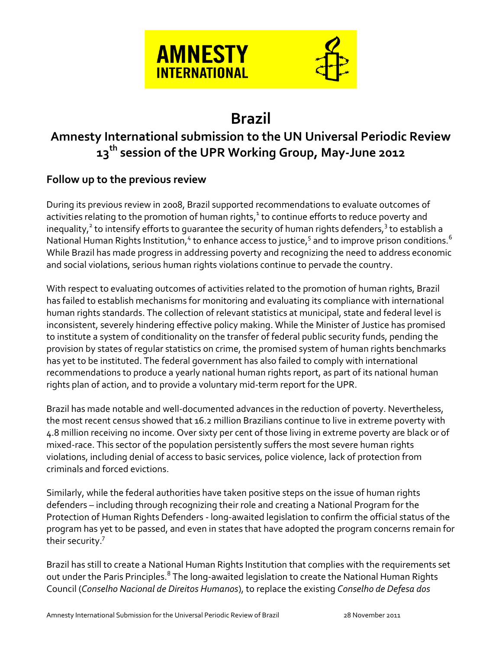

# **Brazil**

# **Amnesty International submission to the UN Universal Periodic Review 13th session of the UPR Working Group, May-June 2012**

# **Follow up to the previous review**

During its previous review in 2008, Brazil supported recommendations to evaluate outcomes of activities relating to the promotion of human rights,<sup>1</sup> to continue efforts to reduce poverty and inequality, $^2$  to intensify efforts to guarantee the security of human rights defenders, $^3$  to establish a National Human Rights Institution, $^4$  to enhance access to justice, $^5$  and to improve prison conditions.  $^6$ While Brazil has made progress in addressing poverty and recognizing the need to address economic and social violations, serious human rights violations continue to pervade the country.

With respect to evaluating outcomes of activities related to the promotion of human rights, Brazil has failed to establish mechanisms for monitoring and evaluating its compliance with international human rights standards. The collection of relevant statistics at municipal, state and federal level is inconsistent, severely hindering effective policy making. While the Minister of Justice has promised to institute a system of conditionality on the transfer of federal public security funds, pending the provision by states of regular statistics on crime, the promised system of human rights benchmarks has yet to be instituted. The federal government has also failed to comply with international recommendations to produce a yearly national human rights report, as part of its national human rights plan of action, and to provide a voluntary mid-term report for the UPR.

Brazil has made notable and well-documented advances in the reduction of poverty. Nevertheless, the most recent census showed that 16.2 million Brazilians continue to live in extreme poverty with 4.8 million receiving no income. Over sixty per cent of those living in extreme poverty are black or of mixed-race. This sector of the population persistently suffers the most severe human rights violations, including denial of access to basic services, police violence, lack of protection from criminals and forced evictions.

Similarly, while the federal authorities have taken positive steps on the issue of human rights defenders – including through recognizing their role and creating a National Program for the Protection of Human Rights Defenders - long-awaited legislation to confirm the official status of the program has yet to be passed, and even in states that have adopted the program concerns remain for their security.<sup>7</sup>

Brazil has still to create a National Human Rights Institution that complies with the requirements set out under the Paris Principles.<sup>8</sup> The long-awaited legislation to create the National Human Rights Council (*Conselho Nacional de Direitos Humanos*), to replace the existing *Conselho de Defesa dos*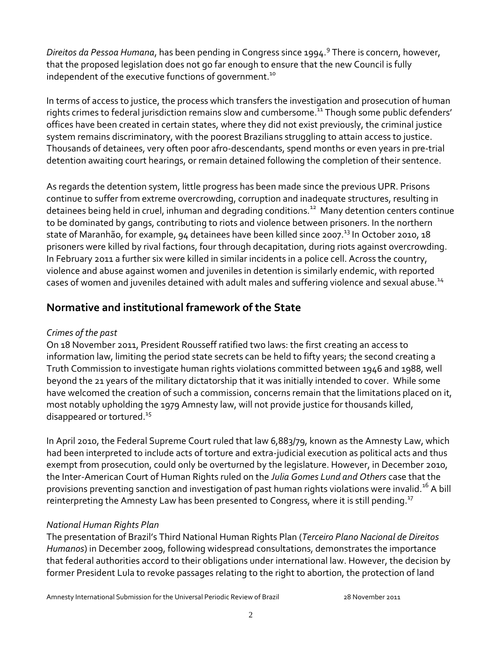*Direitos da Pessoa Humana*, has been pending in Congress since 1994.<sup>9</sup> There is concern, however, that the proposed legislation does not go far enough to ensure that the new Council is fully independent of the executive functions of government.<sup>10</sup>

In terms of access to justice, the process which transfers the investigation and prosecution of human rights crimes to federal jurisdiction remains slow and cumbersome.<sup>11</sup> Though some public defenders' offices have been created in certain states, where they did not exist previously, the criminal justice system remains discriminatory, with the poorest Brazilians struggling to attain access to justice. Thousands of detainees, very often poor afro-descendants, spend months or even years in pre-trial detention awaiting court hearings, or remain detained following the completion of their sentence.

As regards the detention system, little progress has been made since the previous UPR. Prisons continue to suffer from extreme overcrowding, corruption and inadequate structures, resulting in detainees being held in cruel, inhuman and degrading conditions.<sup>12</sup> Many detention centers continue to be dominated by gangs, contributing to riots and violence between prisoners. In the northern state of Maranhão, for example, 94 detainees have been killed since 2007.<sup>13</sup> In October 2010, 18 prisoners were killed by rival factions, four through decapitation, during riots against overcrowding. In February 2011 a further six were killed in similar incidents in a police cell. Across the country, violence and abuse against women and juveniles in detention is similarly endemic, with reported cases of women and juveniles detained with adult males and suffering violence and sexual abuse.<sup>14</sup>

# **Normative and institutional framework of the State**

#### *Crimes of the past*

On 18 November 2011, President Rousseff ratified two laws: the first creating an access to information law, limiting the period state secrets can be held to fifty years; the second creating a Truth Commission to investigate human rights violations committed between 1946 and 1988, well beyond the 21 years of the military dictatorship that it was initially intended to cover. While some have welcomed the creation of such a commission, concerns remain that the limitations placed on it, most notably upholding the 1979 Amnesty law, will not provide justice for thousands killed, disappeared or tortured.<sup>15</sup>

In April 2010, the Federal Supreme Court ruled that law 6,883/79, known as the Amnesty Law, which had been interpreted to include acts of torture and extra-judicial execution as political acts and thus exempt from prosecution, could only be overturned by the legislature. However, in December 2010, the Inter-American Court of Human Rights ruled on the *Julia Gomes Lund and Others* case that the provisions preventing sanction and investigation of past human rights violations were invalid.<sup>16</sup> A bill reinterpreting the Amnesty Law has been presented to Congress, where it is still pending.<sup>17</sup>

# *National Human Rights Plan*

The presentation of Brazil's Third National Human Rights Plan (*Terceiro Plano Nacional de Direitos Humanos*) in December 2009, following widespread consultations, demonstrates the importance that federal authorities accord to their obligations under international law. However, the decision by former President Lula to revoke passages relating to the right to abortion, the protection of land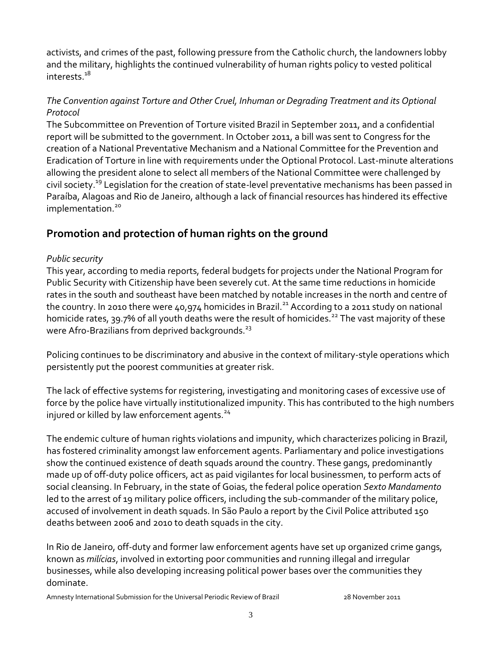activists, and crimes of the past, following pressure from the Catholic church, the landowners lobby and the military, highlights the continued vulnerability of human rights policy to vested political interests.<sup>18</sup>

#### *The Convention against Torture and Other Cruel, Inhuman or Degrading Treatment and its Optional Protocol*

The Subcommittee on Prevention of Torture visited Brazil in September 2011, and a confidential report will be submitted to the government. In October 2011, a bill was sent to Congress for the creation of a National Preventative Mechanism and a National Committee for the Prevention and Eradication of Torture in line with requirements under the Optional Protocol. Last-minute alterations allowing the president alone to select all members of the National Committee were challenged by civil society.<sup>19</sup> Legislation for the creation of state-level preventative mechanisms has been passed in Paraíba, Alagoas and Rio de Janeiro, although a lack of financial resources has hindered its effective implementation.<sup>20</sup>

# **Promotion and protection of human rights on the ground**

#### *Public security*

This year, according to media reports, federal budgets for projects under the National Program for Public Security with Citizenship have been severely cut. At the same time reductions in homicide rates in the south and southeast have been matched by notable increases in the north and centre of the country. In 2010 there were  $40.974$  homicides in Brazil.<sup>21</sup> According to a 2011 study on national homicide rates, 39.7% of all youth deaths were the result of homicides.<sup>22</sup> The vast majority of these were Afro-Brazilians from deprived backgrounds.<sup>23</sup>

Policing continues to be discriminatory and abusive in the context of military-style operations which persistently put the poorest communities at greater risk.

The lack of effective systems for registering, investigating and monitoring cases of excessive use of force by the police have virtually institutionalized impunity. This has contributed to the high numbers injured or killed by law enforcement agents. $24$ 

The endemic culture of human rights violations and impunity, which characterizes policing in Brazil, has fostered criminality amongst law enforcement agents. Parliamentary and police investigations show the continued existence of death squads around the country. These gangs, predominantly made up of off-duty police officers, act as paid vigilantes for local businessmen, to perform acts of social cleansing. In February, in the state of Goias, the federal police operation *Sexto Mandamento* led to the arrest of 19 military police officers, including the sub-commander of the military police, accused of involvement in death squads. In São Paulo a report by the Civil Police attributed 150 deaths between 2006 and 2010 to death squads in the city.

In Rio de Janeiro, off-duty and former law enforcement agents have set up organized crime gangs, known as *milícias*, involved in extorting poor communities and running illegal and irregular businesses, while also developing increasing political power bases over the communities they dominate.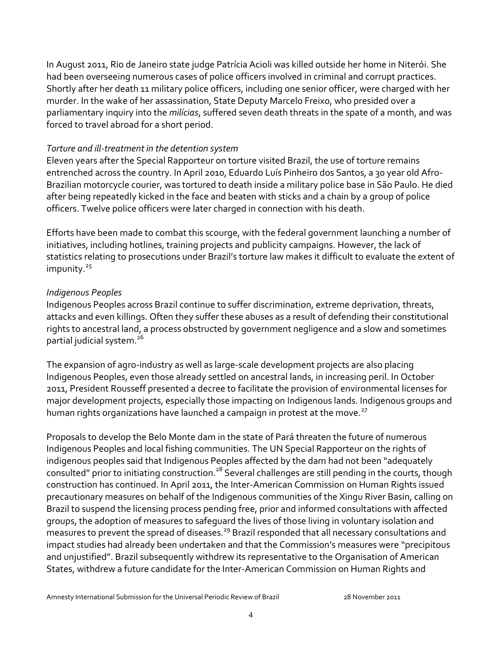In August 2011, Rio de Janeiro state judge Patrícia Acioli was killed outside her home in Niterói. She had been overseeing numerous cases of police officers involved in criminal and corrupt practices. Shortly after her death 11 military police officers, including one senior officer, were charged with her murder. In the wake of her assassination, State Deputy Marcelo Freixo, who presided over a parliamentary inquiry into the *milícias*, suffered seven death threats in the spate of a month, and was forced to travel abroad for a short period.

#### *Torture and ill-treatment in the detention system*

Eleven years after the Special Rapporteur on torture visited Brazil, the use of torture remains entrenched across the country. In April 2010, Eduardo Luís Pinheiro dos Santos, a 30 year old Afro-Brazilian motorcycle courier, was tortured to death inside a military police base in São Paulo. He died after being repeatedly kicked in the face and beaten with sticks and a chain by a group of police officers. Twelve police officers were later charged in connection with his death.

Efforts have been made to combat this scourge, with the federal government launching a number of initiatives, including hotlines, training projects and publicity campaigns. However, the lack of statistics relating to prosecutions under Brazil's torture law makes it difficult to evaluate the extent of impunity.<sup>25</sup>

#### *Indigenous Peoples*

Indigenous Peoples across Brazil continue to suffer discrimination, extreme deprivation, threats, attacks and even killings. Often they suffer these abuses as a result of defending their constitutional rights to ancestral land, a process obstructed by government negligence and a slow and sometimes partial judicial system.<sup>26</sup>

The expansion of agro-industry as well as large-scale development projects are also placing Indigenous Peoples, even those already settled on ancestral lands, in increasing peril. In October 2011, President Rousseff presented a decree to facilitate the provision of environmental licenses for major development projects, especially those impacting on Indigenous lands. Indigenous groups and human rights organizations have launched a campaign in protest at the move.<sup>27</sup>

Proposals to develop the Belo Monte dam in the state of Pará threaten the future of numerous Indigenous Peoples and local fishing communities. The UN Special Rapporteur on the rights of indigenous peoples said that Indigenous Peoples affected by the dam had not been "adequately consulted" prior to initiating construction.<sup>28</sup> Several challenges are still pending in the courts, though construction has continued. In April 2011, the Inter-American Commission on Human Rights issued precautionary measures on behalf of the Indigenous communities of the Xingu River Basin, calling on Brazil to suspend the licensing process pending free, prior and informed consultations with affected groups, the adoption of measures to safeguard the lives of those living in voluntary isolation and measures to prevent the spread of diseases.<sup>29</sup> Brazil responded that all necessary consultations and impact studies had already been undertaken and that the Commission's measures were "precipitous and unjustified". Brazil subsequently withdrew its representative to the Organisation of American States, withdrew a future candidate for the Inter-American Commission on Human Rights and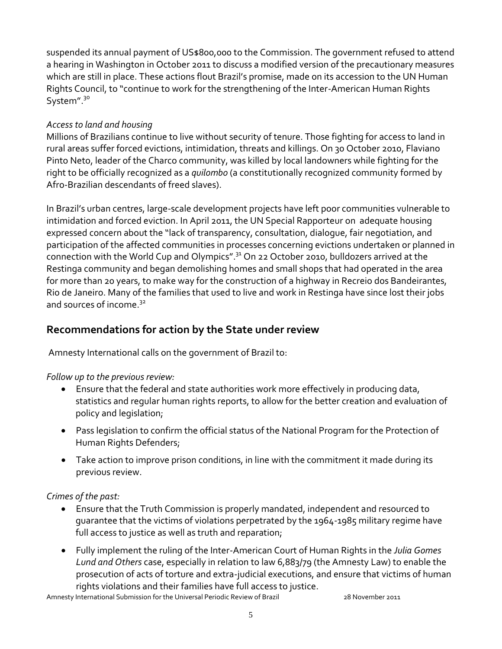suspended its annual payment of US\$800,000 to the Commission. The government refused to attend a hearing in Washington in October 2011 to discuss a modified version of the precautionary measures which are still in place. These actions flout Brazil's promise, made on its accession to the UN Human Rights Council, to "continue to work for the strengthening of the Inter-American Human Rights System".<sup>30</sup>

#### *Access to land and housing*

Millions of Brazilians continue to live without security of tenure. Those fighting for access to land in rural areas suffer forced evictions, intimidation, threats and killings. On 30 October 2010, Flaviano Pinto Neto, leader of the Charco community, was killed by local landowners while fighting for the right to be officially recognized as a *quilombo* (a constitutionally recognized community formed by Afro-Brazilian descendants of freed slaves).

In Brazil's urban centres, large-scale development projects have left poor communities vulnerable to intimidation and forced eviction. In April 2011, the UN Special Rapporteur on adequate housing expressed concern about the "lack of transparency, consultation, dialogue, fair negotiation, and participation of the affected communities in processes concerning evictions undertaken or planned in connection with the World Cup and Olympics".<sup>31</sup> On 22 October 2010, bulldozers arrived at the Restinga community and began demolishing homes and small shops that had operated in the area for more than 20 years, to make way for the construction of a highway in Recreio dos Bandeirantes, Rio de Janeiro. Many of the families that used to live and work in Restinga have since lost their jobs and sources of income.<sup>32</sup>

# **Recommendations for action by the State under review**

Amnesty International calls on the government of Brazil to:

*Follow up to the previous review:*

- Ensure that the federal and state authorities work more effectively in producing data, statistics and regular human rights reports, to allow for the better creation and evaluation of policy and legislation;
- Pass legislation to confirm the official status of the National Program for the Protection of Human Rights Defenders;
- Take action to improve prison conditions, in line with the commitment it made during its previous review.

*Crimes of the past:*

- Ensure that the Truth Commission is properly mandated, independent and resourced to guarantee that the victims of violations perpetrated by the 1964-1985 military regime have full access to justice as well as truth and reparation;
- Fully implement the ruling of the Inter-American Court of Human Rights in the *Julia Gomes Lund and Others* case, especially in relation to law 6,883/79 (the Amnesty Law) to enable the prosecution of acts of torture and extra-judicial executions, and ensure that victims of human rights violations and their families have full access to justice.

Amnesty International Submission for the Universal Periodic Review of Brazil 28 November 2011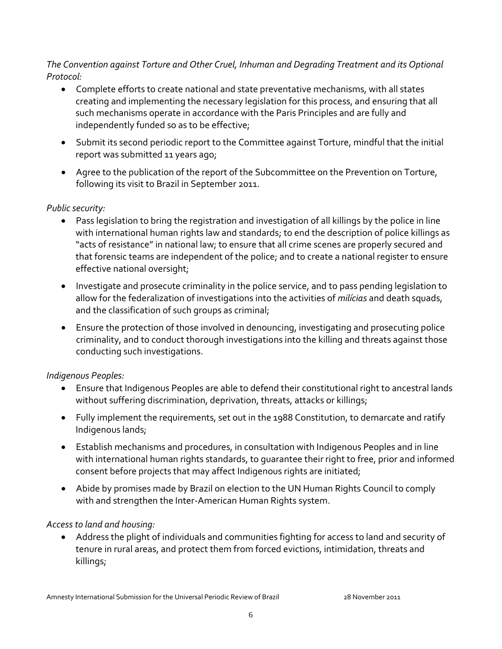#### *The Convention against Torture and Other Cruel, Inhuman and Degrading Treatment and its Optional Protocol:*

- Complete efforts to create national and state preventative mechanisms, with all states creating and implementing the necessary legislation for this process, and ensuring that all such mechanisms operate in accordance with the Paris Principles and are fully and independently funded so as to be effective;
- Submit its second periodic report to the Committee against Torture, mindful that the initial report was submitted 11 years ago;
- Agree to the publication of the report of the Subcommittee on the Prevention on Torture, following its visit to Brazil in September 2011.

#### *Public security:*

- Pass legislation to bring the registration and investigation of all killings by the police in line with international human rights law and standards; to end the description of police killings as "acts of resistance" in national law; to ensure that all crime scenes are properly secured and that forensic teams are independent of the police; and to create a national register to ensure effective national oversight;
- Investigate and prosecute criminality in the police service, and to pass pending legislation to allow for the federalization of investigations into the activities of *milícias* and death squads, and the classification of such groups as criminal;
- Ensure the protection of those involved in denouncing, investigating and prosecuting police criminality, and to conduct thorough investigations into the killing and threats against those conducting such investigations.

# *Indigenous Peoples:*

- Ensure that Indigenous Peoples are able to defend their constitutional right to ancestral lands without suffering discrimination, deprivation, threats, attacks or killings;
- Fully implement the requirements, set out in the 1988 Constitution, to demarcate and ratify Indigenous lands;
- Establish mechanisms and procedures, in consultation with Indigenous Peoples and in line with international human rights standards, to guarantee their right to free, prior and informed consent before projects that may affect Indigenous rights are initiated;
- Abide by promises made by Brazil on election to the UN Human Rights Council to comply with and strengthen the Inter-American Human Rights system.

# *Access to land and housing:*

 Address the plight of individuals and communities fighting for access to land and security of tenure in rural areas, and protect them from forced evictions, intimidation, threats and killings;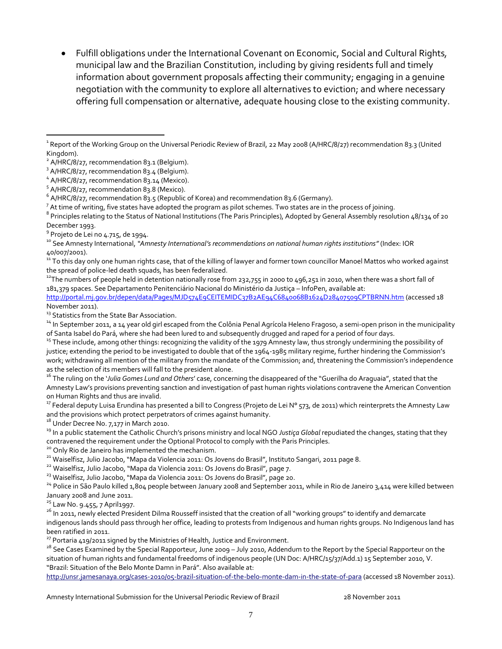Fulfill obligations under the International Covenant on Economic, Social and Cultural Rights*,* municipal law and the Brazilian Constitution, including by giving residents full and timely information about government proposals affecting their community; engaging in a genuine negotiation with the community to explore all alternatives to eviction; and where necessary offering full compensation or alternative, adequate housing close to the existing community.

 $^7$  At time of writing, five states have adopted the program as pilot schemes. Two states are in the process of joining.

<sup>8</sup> Principles relating to the Status of National Institutions (The Paris Principles), Adopted by General Assembly resolution 48/134 of 20 December 1993.

<sup>9</sup> Projeto de Lei no 4.715<mark>,</mark> de 1994.

 $\overline{a}$ 

<sup>10</sup> See Amnesty International, *"Amnesty International's recommendations on national human rights institutions"* (Index: IOR 40/007/2001).

<sup>11</sup> To this day only one human rights case, that of the killing of lawyer and former town councillor Manoel Mattos who worked against the spread of police-led death squads, has been federalized.

 $12$ The numbers of people held in detention nationally rose from 232,755 in 2000 to 496,251 in 2010, when there was a short fall of 181,379 spaces. See Departamento Penitenciário Nacional do Ministério da Justiça – InfoPen, available at:

<http://portal.mj.gov.br/depen/data/Pages/MJD574E9CEITEMIDC37B2AE94C6840068B1624D28407509CPTBRNN.htm> (accessed 18 November 2011).

<sup>13</sup> Statistics from the State Bar Association.

<sup>14</sup> In September 2011, a 14 year old girl escaped from the Colônia Penal Agrícola Heleno Fragoso, a semi-open prison in the municipality of Santa Isabel do Pará, where she had been lured to and subsequently drugged and raped for a period of four days.

<sup>15</sup> These include, among other things: recognizing the validity of the 1979 Amnesty law, thus strongly undermining the possibility of justice; extending the period to be investigated to double that of the 1964-1985 military regime, further hindering the Commission's work; withdrawing all mention of the military from the mandate of the Commission; and, threatening the Commission's independence as the selection of its members will fall to the president alone.

<sup>16</sup> The ruling on the '*Julia Gomes Lund and Others*' case, concerning the disappeared of the "Guerilha do Araguaia", stated that the Amnesty Law's provisions preventing sanction and investigation of past human rights violations contravene the American Convention on Human Rights and thus are invalid.

<sup>17</sup> Federal deputy Luisa Erundina has presented a bill to Congress (Projeto de Lei N° 573, de 2011) which reinterprets the Amnesty Law and the provisions which protect perpetrators of crimes against humanity.

 $18$  Under Decree No. 7,177 in March 2010.

<sup>19</sup> In a public statement the Catholic Church's prisons ministry and local NGO *Justiça Global* repudiated the changes, stating that they contravened the requirement under the Optional Protocol to comply with the Paris Principles.

<sup>20</sup> Only Rio de Janeiro has implemented the mechanism.

<sup>21</sup> Waiselfisz, Julio Jacobo, "Mapa da Violencia 2011: Os Jovens do Brasil", Instituto Sangari, 2011 page 8.

<sup>22</sup> Waiselfisz, Julio Jacobo, "Mapa da Violencia 2011: Os Jovens do Brasil", page 7.

<sup>23</sup> Waiselfisz, Julio Jacobo, "Mapa da Violencia 2011: Os Jovens do Brasil", page 20.

<sup>24</sup> Police in São Paulo killed 1,804 people between January 2008 and September 2011, while in Rio de Janeiro 3,414 were killed between January 2008 and June 2011.

 $25$  Law No. 9.455, 7 April1997.

<sup>26</sup> In 2011, newly elected President Dilma Rousseff insisted that the creation of all "working groups" to identify and demarcate indigenous lands should pass through her office, leading to protests from Indigenous and human rights groups. No Indigenous land has been ratified in 2011.

<sup>27</sup> Portaria 419/2011 signed by the Ministries of Health, Justice and Environment.

<sup>28</sup> See Cases Examined by the Special Rapporteur, June 2009 – July 2010, Addendum to the Report by the Special Rapporteur on the situation of human rights and fundamental freedoms of indigenous people [\(UN Doc: A/HRC/15/37/Add.1\)](http://unsr.jamesanaya.org/cases-2010/cases-examined-2009-2010-full-report) 15 September 2010, V. "Brazil: Situation of the Belo Monte Damn in Pará". Also available at:

<http://unsr.jamesanaya.org/cases-2010/05-brazil-situation-of-the-belo-monte-dam-in-the-state-of-para> (accessed 18 November 2011).

Amnesty International Submission for the Universal Periodic Review of Brazil 28 November 2011

<sup>&</sup>lt;sup>1</sup> Report of the Working Group on the Universal Periodic Review of Brazil, 22 May 2008 (A/HRC/8/27) recommendation 83.3 (United Kingdom).

<sup>&</sup>lt;sup>2</sup> A/HRC/8/27, recommendation 83.1 (Belgium).

<sup>&</sup>lt;sup>3</sup> A/HRC/8/27, recommendation 83.4 (Belgium).

<sup>&</sup>lt;sup>4</sup> A/HRC/8/27, recommendation 83.14 (Mexico).

<sup>&</sup>lt;sup>5</sup> A/HRC/8/27, recommendation 83.8 (Mexico).

 $^6$  A/HRC/8/27, recommendation 83.5 (Republic of Korea) and recommendation 83.6 (Germany).